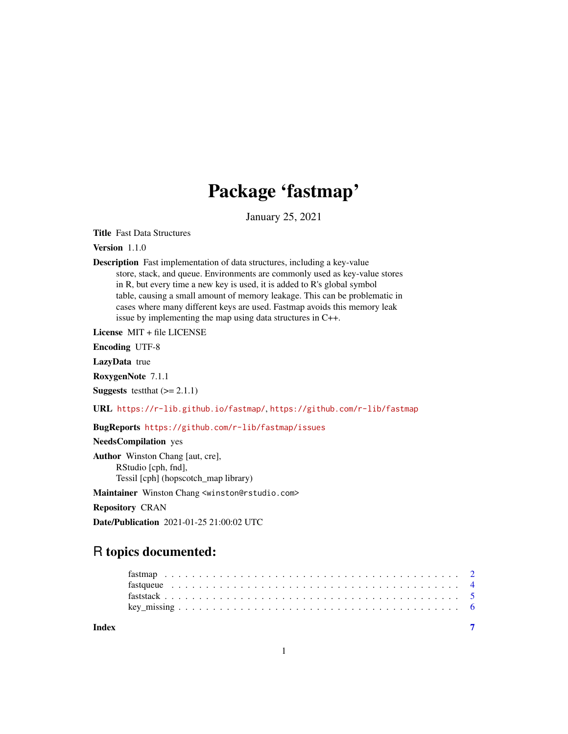## Package 'fastmap'

January 25, 2021

Title Fast Data Structures

Version 1.1.0

Description Fast implementation of data structures, including a key-value store, stack, and queue. Environments are commonly used as key-value stores in R, but every time a new key is used, it is added to R's global symbol table, causing a small amount of memory leakage. This can be problematic in cases where many different keys are used. Fastmap avoids this memory leak issue by implementing the map using data structures in C++.

License MIT + file LICENSE

Encoding UTF-8

LazyData true

RoxygenNote 7.1.1

**Suggests** test that  $(>= 2.1.1)$ 

URL <https://r-lib.github.io/fastmap/>, <https://github.com/r-lib/fastmap>

BugReports <https://github.com/r-lib/fastmap/issues>

NeedsCompilation yes

Author Winston Chang [aut, cre], RStudio [cph, fnd], Tessil [cph] (hopscotch\_map library)

Maintainer Winston Chang <winston@rstudio.com>

Repository CRAN

Date/Publication 2021-01-25 21:00:02 UTC

## R topics documented:

| Index |  |  |  |  |  |  |  |  |  |  |  |  |  |  |  |  |  |  |  |  |  |
|-------|--|--|--|--|--|--|--|--|--|--|--|--|--|--|--|--|--|--|--|--|--|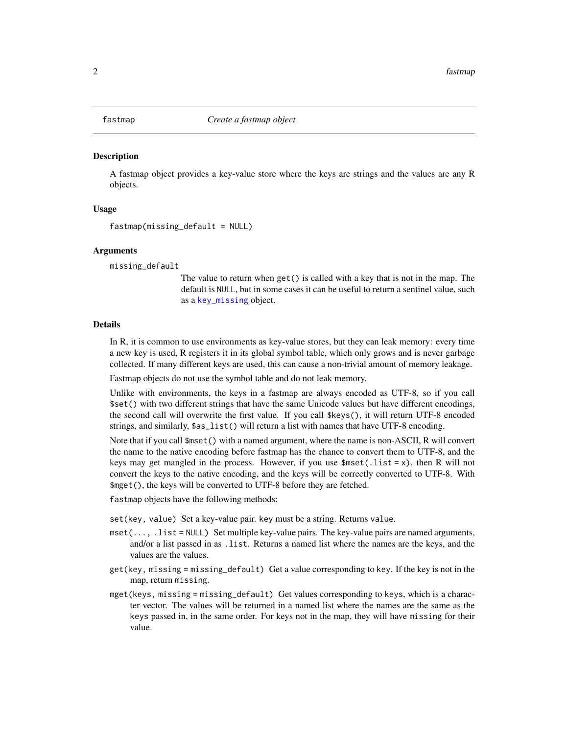<span id="page-1-0"></span>

#### **Description**

A fastmap object provides a key-value store where the keys are strings and the values are any R objects.

#### Usage

```
fastmap(missing_default = NULL)
```
#### Arguments

missing\_default

The value to return when get() is called with a key that is not in the map. The default is NULL, but in some cases it can be useful to return a sentinel value, such as a [key\\_missing](#page-5-1) object.

#### Details

In R, it is common to use environments as key-value stores, but they can leak memory: every time a new key is used, R registers it in its global symbol table, which only grows and is never garbage collected. If many different keys are used, this can cause a non-trivial amount of memory leakage.

Fastmap objects do not use the symbol table and do not leak memory.

Unlike with environments, the keys in a fastmap are always encoded as UTF-8, so if you call \$set() with two different strings that have the same Unicode values but have different encodings, the second call will overwrite the first value. If you call \$keys(), it will return UTF-8 encoded strings, and similarly, \$as\_list() will return a list with names that have UTF-8 encoding.

Note that if you call \$mset() with a named argument, where the name is non-ASCII, R will convert the name to the native encoding before fastmap has the chance to convert them to UTF-8, and the keys may get mangled in the process. However, if you use  $\text{Imset}(.\text{list} = x)$ , then R will not convert the keys to the native encoding, and the keys will be correctly converted to UTF-8. With \$mget(), the keys will be converted to UTF-8 before they are fetched.

fastmap objects have the following methods:

set(key, value) Set a key-value pair. key must be a string. Returns value.

- mset(..., .list = NULL) Set multiple key-value pairs. The key-value pairs are named arguments, and/or a list passed in as .list. Returns a named list where the names are the keys, and the values are the values.
- get(key, missing = missing\_default) Get a value corresponding to key. If the key is not in the map, return missing.
- mget(keys, missing = missing\_default) Get values corresponding to keys, which is a character vector. The values will be returned in a named list where the names are the same as the keys passed in, in the same order. For keys not in the map, they will have missing for their value.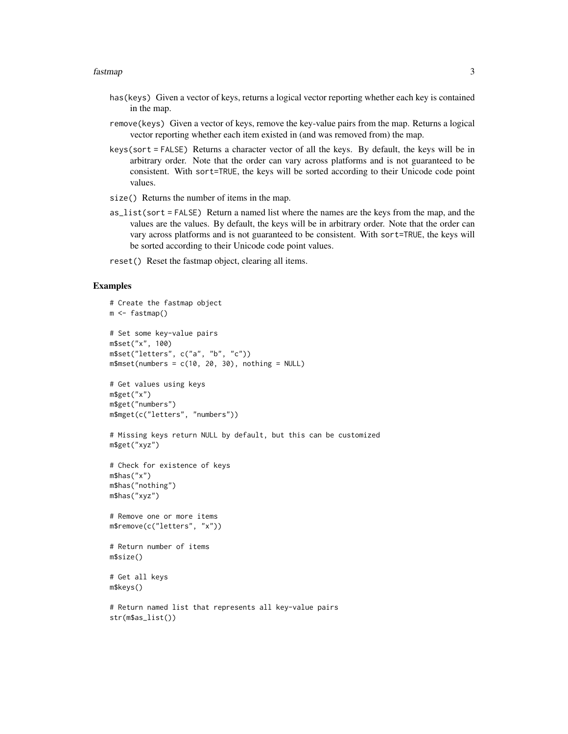#### fastmap 3

- has(keys) Given a vector of keys, returns a logical vector reporting whether each key is contained in the map.
- remove(keys) Given a vector of keys, remove the key-value pairs from the map. Returns a logical vector reporting whether each item existed in (and was removed from) the map.
- keys(sort = FALSE) Returns a character vector of all the keys. By default, the keys will be in arbitrary order. Note that the order can vary across platforms and is not guaranteed to be consistent. With sort=TRUE, the keys will be sorted according to their Unicode code point values.
- size() Returns the number of items in the map.
- as\_list(sort = FALSE) Return a named list where the names are the keys from the map, and the values are the values. By default, the keys will be in arbitrary order. Note that the order can vary across platforms and is not guaranteed to be consistent. With sort=TRUE, the keys will be sorted according to their Unicode code point values.
- reset() Reset the fastmap object, clearing all items.

#### Examples

```
# Create the fastmap object
m <- fastmap()
# Set some key-value pairs
m$set("x", 100)
m$set("letters", c("a", "b", "c"))
m$mset(numbers = c(10, 20, 30), nothing = NULL)# Get values using keys
m$get("x")
m$get("numbers")
m$mget(c("letters", "numbers"))
# Missing keys return NULL by default, but this can be customized
m$get("xyz")
# Check for existence of keys
m$has("x")
m$has("nothing")
m$has("xyz")
# Remove one or more items
m$remove(c("letters", "x"))
# Return number of items
m$size()
# Get all keys
m$keys()
# Return named list that represents all key-value pairs
str(m$as_list())
```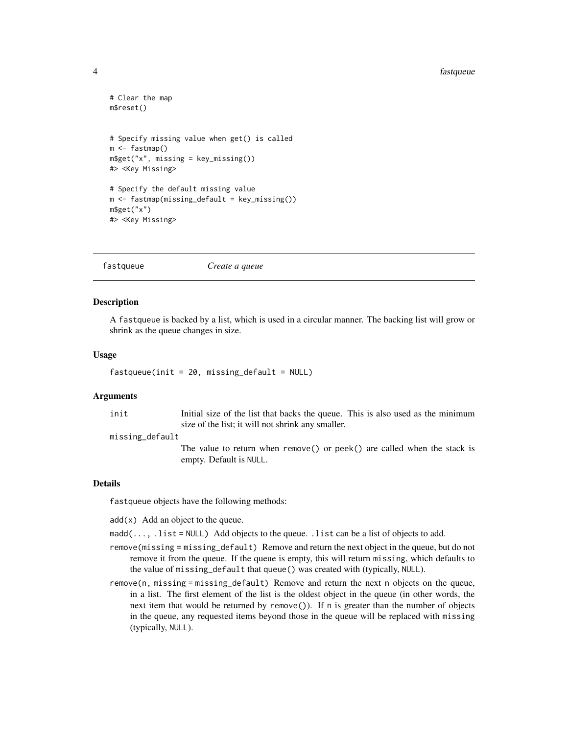#### <span id="page-3-0"></span>4 fastqueue

```
# Clear the map
m$reset()
# Specify missing value when get() is called
m <- fastmap()
m$get("x", missing = key_missing())
#> <Key Missing>
# Specify the default missing value
m <- fastmap(missing_default = key_missing())
m$get("x")
#> <Key Missing>
```
fastqueue *Create a queue*

#### Description

A fastqueue is backed by a list, which is used in a circular manner. The backing list will grow or shrink as the queue changes in size.

#### Usage

```
fastqueue(int = 20, missing\_default = NULL)
```
#### Arguments

init Initial size of the list that backs the queue. This is also used as the minimum size of the list; it will not shrink any smaller.

missing\_default

The value to return when remove() or peek() are called when the stack is empty. Default is NULL.

#### Details

fastqueue objects have the following methods:

 $add(x)$  Add an object to the queue.

 $madd(...,. list = NULL)$  Add objects to the queue. . list can be a list of objects to add.

- remove(missing = missing\_default) Remove and return the next object in the queue, but do not remove it from the queue. If the queue is empty, this will return missing, which defaults to the value of missing\_default that queue() was created with (typically, NULL).
- remove(n, missing = missing\_default) Remove and return the next n objects on the queue, in a list. The first element of the list is the oldest object in the queue (in other words, the next item that would be returned by remove()). If n is greater than the number of objects in the queue, any requested items beyond those in the queue will be replaced with missing (typically, NULL).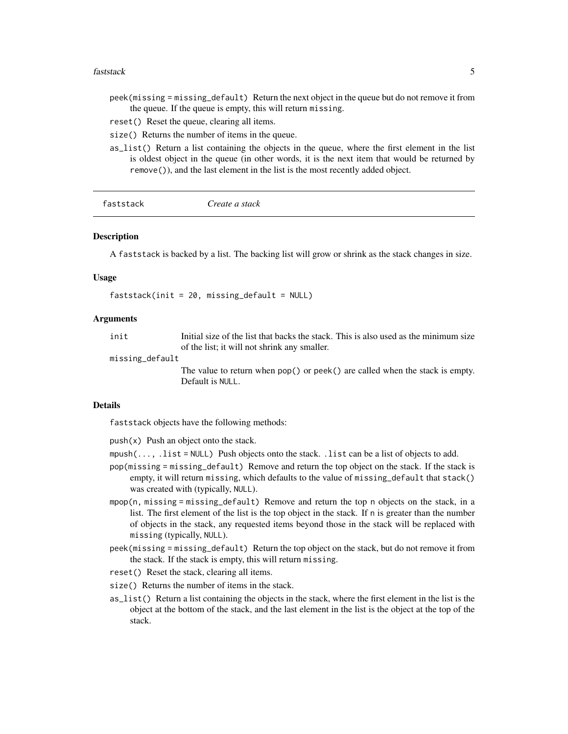#### <span id="page-4-0"></span>faststack 5

- peek(missing = missing\_default) Return the next object in the queue but do not remove it from the queue. If the queue is empty, this will return missing.
- reset() Reset the queue, clearing all items.
- size() Returns the number of items in the queue.
- as\_list() Return a list containing the objects in the queue, where the first element in the list is oldest object in the queue (in other words, it is the next item that would be returned by remove()), and the last element in the list is the most recently added object.

| faststack<br>Create a stack |
|-----------------------------|
|-----------------------------|

#### Description

A faststack is backed by a list. The backing list will grow or shrink as the stack changes in size.

#### Usage

faststack(init = 20, missing\_default = NULL)

#### Arguments

init Initial size of the list that backs the stack. This is also used as the minimum size of the list; it will not shrink any smaller.

missing\_default

The value to return when pop() or peek() are called when the stack is empty. Default is NULL.

#### Details

faststack objects have the following methods:

 $push(x)$  Push an object onto the stack.

- $mpush(..., .list = NULL)$  Push objects onto the stack. . list can be a list of objects to add.
- pop(missing = missing\_default) Remove and return the top object on the stack. If the stack is empty, it will return missing, which defaults to the value of missing\_default that stack() was created with (typically, NULL).
- mpop(n, missing = missing\_default) Remove and return the top n objects on the stack, in a list. The first element of the list is the top object in the stack. If n is greater than the number of objects in the stack, any requested items beyond those in the stack will be replaced with missing (typically, NULL).
- peek(missing = missing\_default) Return the top object on the stack, but do not remove it from the stack. If the stack is empty, this will return missing.
- reset() Reset the stack, clearing all items.
- size() Returns the number of items in the stack.
- as\_list() Return a list containing the objects in the stack, where the first element in the list is the object at the bottom of the stack, and the last element in the list is the object at the top of the stack.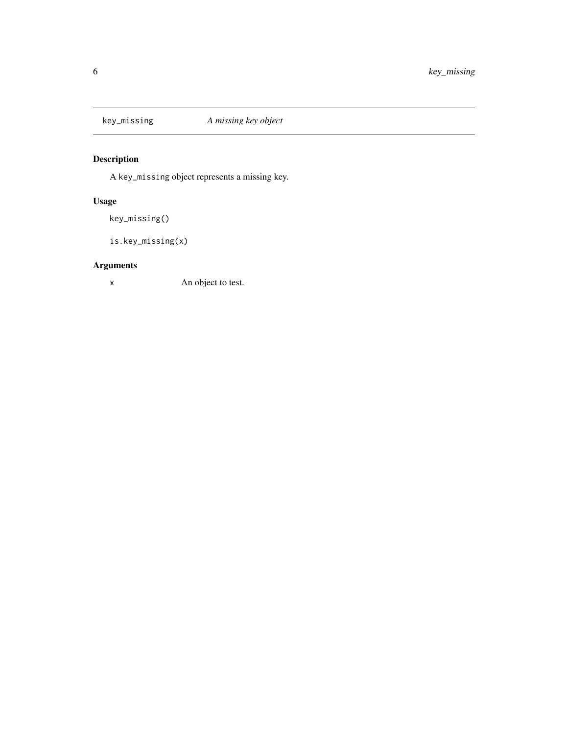<span id="page-5-1"></span><span id="page-5-0"></span>

### Description

A key\_missing object represents a missing key.

#### Usage

key\_missing()

```
is.key_missing(x)
```
#### Arguments

x An object to test.